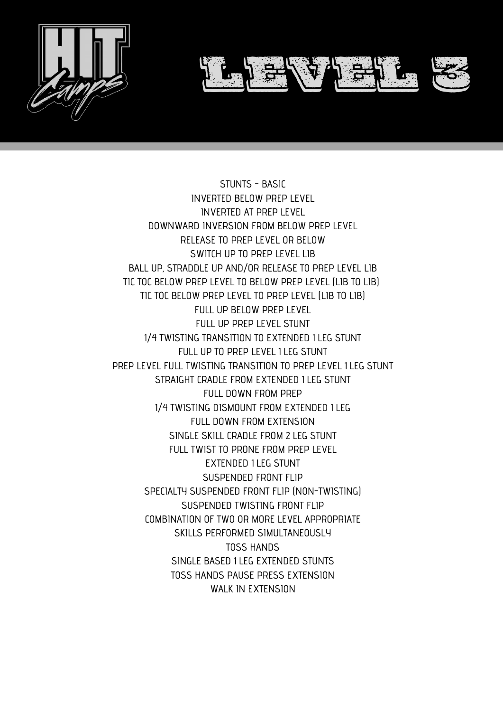

STUNTS - BASIC INVERTED BELOW PREP LEVEL INVERTED AT PREP LEVEL DOWNWARD INVERSION FROM BELOW PREP LEVEL RELEASE TO PREP LEVEL OR BELOW SWITCH UP TO PREP LEVEL LIB BALL UP, STRADDLE UP AND/OR RELEASE TO PREP LEVEL LIB TIC TOC BELOW PREP LEVEL TO BELOW PREP LEVEL (LIB TO LIB) TIC TOC BELOW PREP LEVEL TO PREP LEVEL (LIB TO LIB) FULL UP BELOW PREP LEVEL FULL UP PREP LEVEL STUNT 1⁄4 TWISTING TRANSITION TO EXTENDED 1 LEG STUNT FULL UP TO PREP LEVEL 1 LEG STUNT PREP LEVEL FULL TWISTING TRANSITION TO PREP LEVEL 1 LEG STUNT STRAIGHT CRADLE FROM EXTENDED 1 LEG STUNT FULL DOWN FROM PREP 1⁄4 TWISTING DISMOUNT FROM EXTENDED 1 LEG FULL DOWN FROM EXTENSION SINGLE SKILL CRADLE FROM 2 LEG STUNT FULL TWIST TO PRONE FROM PREP LEVEL EXTENDED 1 LEG STUNT SUSPENDED FRONT FLIP SPECIALTY SUSPENDED FRONT FLIP (NON-TWISTING) SUSPENDED TWISTING FRONT FLIP COMBINATION OF TWO OR MORE LEVEL APPROPRIATE SKILLS PERFORMED SIMULTANEOUSLY TOSS HANDS SINGLE BASED 1 LEG EXTENDED STUNTS TOSS HANDS PAUSE PRESS EXTENSION WALK IN EXTENSION